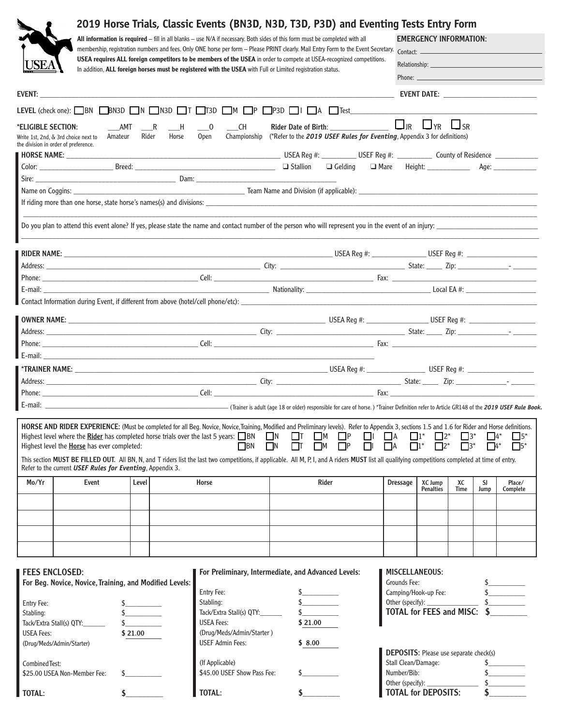|                                                                                                                                                                                                                                                                                                                                                                                                                                                                                                                 |                                                           |       |                                                                    | 2019 Horse Trials, Classic Events (BN3D, N3D, T3D, P3D) and Eventing Tests Entry Form                                                                                                                                                                                                                               |                                    |                                                                          |                                               |                                              |                                                                   |                        |                                 |                                                      |  |
|-----------------------------------------------------------------------------------------------------------------------------------------------------------------------------------------------------------------------------------------------------------------------------------------------------------------------------------------------------------------------------------------------------------------------------------------------------------------------------------------------------------------|-----------------------------------------------------------|-------|--------------------------------------------------------------------|---------------------------------------------------------------------------------------------------------------------------------------------------------------------------------------------------------------------------------------------------------------------------------------------------------------------|------------------------------------|--------------------------------------------------------------------------|-----------------------------------------------|----------------------------------------------|-------------------------------------------------------------------|------------------------|---------------------------------|------------------------------------------------------|--|
| All information is required - fill in all blanks - use N/A if necessary. Both sides of this form must be completed with all<br>membership, registration numbers and fees. Only ONE horse per form - Please PRINT clearly. Mail Entry Form to the Event Secretary.<br>USEA requires ALL foreign competitors to be members of the USEA in order to compete at USEA-recognized competitions.<br>USEA<br>In addition, ALL foreign horses must be registered with the USEA with Full or Limited registration status. |                                                           |       |                                                                    |                                                                                                                                                                                                                                                                                                                     |                                    |                                                                          |                                               | <b>EMERGENCY INFORMATION:</b>                |                                                                   |                        |                                 |                                                      |  |
|                                                                                                                                                                                                                                                                                                                                                                                                                                                                                                                 |                                                           |       |                                                                    |                                                                                                                                                                                                                                                                                                                     |                                    |                                                                          |                                               |                                              |                                                                   |                        |                                 |                                                      |  |
|                                                                                                                                                                                                                                                                                                                                                                                                                                                                                                                 |                                                           |       |                                                                    |                                                                                                                                                                                                                                                                                                                     |                                    |                                                                          |                                               |                                              |                                                                   |                        |                                 |                                                      |  |
|                                                                                                                                                                                                                                                                                                                                                                                                                                                                                                                 |                                                           |       |                                                                    |                                                                                                                                                                                                                                                                                                                     |                                    |                                                                          |                                               |                                              |                                                                   |                        |                                 |                                                      |  |
|                                                                                                                                                                                                                                                                                                                                                                                                                                                                                                                 |                                                           |       |                                                                    |                                                                                                                                                                                                                                                                                                                     |                                    |                                                                          |                                               |                                              |                                                                   |                        |                                 |                                                      |  |
|                                                                                                                                                                                                                                                                                                                                                                                                                                                                                                                 |                                                           |       |                                                                    | LEVEL (check one): $\Box$ BN $\Box$ BN3D $\Box$ N $\Box$ N3D $\Box$ T $\Box$ T3D $\Box$ M $\Box$ P $\Box$ P3D $\Box$ I $\Box$ A $\Box$ Test                                                                                                                                                                         |                                    |                                                                          |                                               |                                              |                                                                   |                        |                                 |                                                      |  |
| *ELIGIBLE SECTION:                                                                                                                                                                                                                                                                                                                                                                                                                                                                                              | $\_AMT$                                                   |       | R<br>$-$ H                                                         | $\sqrt{CH}$<br>$\overline{\phantom{0}}^0$                                                                                                                                                                                                                                                                           |                                    | Rider Date of Birth: ________________                                    |                                               |                                              | $\Box_{\text{JR}}$ $\Box_{\text{YR}}$ $\Box_{\text{SR}}$          |                        |                                 |                                                      |  |
| Write 1st, 2nd, & 3rd choice next to                                                                                                                                                                                                                                                                                                                                                                                                                                                                            | Amateur                                                   | Rider | Horse                                                              | Open<br>Championship                                                                                                                                                                                                                                                                                                |                                    | (*Refer to the 2019 USEF Rules for Eventing, Appendix 3 for definitions) |                                               |                                              |                                                                   |                        |                                 |                                                      |  |
| the division in order of preference.                                                                                                                                                                                                                                                                                                                                                                                                                                                                            |                                                           |       |                                                                    |                                                                                                                                                                                                                                                                                                                     |                                    |                                                                          |                                               |                                              |                                                                   |                        |                                 |                                                      |  |
|                                                                                                                                                                                                                                                                                                                                                                                                                                                                                                                 | HORSE NAME: NAME                                          |       |                                                                    |                                                                                                                                                                                                                                                                                                                     |                                    |                                                                          |                                               |                                              |                                                                   |                        |                                 |                                                      |  |
|                                                                                                                                                                                                                                                                                                                                                                                                                                                                                                                 |                                                           |       |                                                                    |                                                                                                                                                                                                                                                                                                                     |                                    |                                                                          |                                               |                                              | □ Mare Height: _______________ Age: _____________                 |                        |                                 |                                                      |  |
|                                                                                                                                                                                                                                                                                                                                                                                                                                                                                                                 |                                                           |       |                                                                    |                                                                                                                                                                                                                                                                                                                     |                                    |                                                                          |                                               |                                              |                                                                   |                        |                                 |                                                      |  |
|                                                                                                                                                                                                                                                                                                                                                                                                                                                                                                                 |                                                           |       |                                                                    |                                                                                                                                                                                                                                                                                                                     |                                    |                                                                          |                                               |                                              |                                                                   |                        |                                 |                                                      |  |
|                                                                                                                                                                                                                                                                                                                                                                                                                                                                                                                 |                                                           |       |                                                                    |                                                                                                                                                                                                                                                                                                                     |                                    |                                                                          |                                               |                                              |                                                                   |                        |                                 |                                                      |  |
|                                                                                                                                                                                                                                                                                                                                                                                                                                                                                                                 |                                                           |       |                                                                    | Do you plan to attend this event alone? If yes, please state the name and contact number of the person who will represent you in the event of an injury:                                                                                                                                                            |                                    |                                                                          |                                               |                                              |                                                                   |                        |                                 |                                                      |  |
|                                                                                                                                                                                                                                                                                                                                                                                                                                                                                                                 |                                                           |       |                                                                    |                                                                                                                                                                                                                                                                                                                     |                                    |                                                                          |                                               |                                              |                                                                   |                        |                                 |                                                      |  |
|                                                                                                                                                                                                                                                                                                                                                                                                                                                                                                                 |                                                           |       |                                                                    |                                                                                                                                                                                                                                                                                                                     |                                    |                                                                          |                                               |                                              |                                                                   |                        |                                 |                                                      |  |
|                                                                                                                                                                                                                                                                                                                                                                                                                                                                                                                 |                                                           |       |                                                                    |                                                                                                                                                                                                                                                                                                                     |                                    |                                                                          |                                               |                                              |                                                                   |                        |                                 |                                                      |  |
|                                                                                                                                                                                                                                                                                                                                                                                                                                                                                                                 |                                                           |       |                                                                    |                                                                                                                                                                                                                                                                                                                     |                                    |                                                                          |                                               |                                              |                                                                   |                        |                                 |                                                      |  |
|                                                                                                                                                                                                                                                                                                                                                                                                                                                                                                                 |                                                           |       |                                                                    |                                                                                                                                                                                                                                                                                                                     |                                    |                                                                          |                                               |                                              |                                                                   |                        |                                 |                                                      |  |
|                                                                                                                                                                                                                                                                                                                                                                                                                                                                                                                 |                                                           |       |                                                                    |                                                                                                                                                                                                                                                                                                                     |                                    |                                                                          |                                               |                                              |                                                                   |                        |                                 |                                                      |  |
|                                                                                                                                                                                                                                                                                                                                                                                                                                                                                                                 |                                                           |       |                                                                    |                                                                                                                                                                                                                                                                                                                     |                                    |                                                                          |                                               |                                              |                                                                   |                        |                                 |                                                      |  |
|                                                                                                                                                                                                                                                                                                                                                                                                                                                                                                                 |                                                           |       |                                                                    |                                                                                                                                                                                                                                                                                                                     |                                    |                                                                          |                                               |                                              |                                                                   |                        |                                 |                                                      |  |
|                                                                                                                                                                                                                                                                                                                                                                                                                                                                                                                 |                                                           |       |                                                                    |                                                                                                                                                                                                                                                                                                                     |                                    |                                                                          |                                               |                                              |                                                                   |                        |                                 |                                                      |  |
|                                                                                                                                                                                                                                                                                                                                                                                                                                                                                                                 |                                                           |       |                                                                    |                                                                                                                                                                                                                                                                                                                     |                                    |                                                                          |                                               |                                              |                                                                   |                        |                                 |                                                      |  |
|                                                                                                                                                                                                                                                                                                                                                                                                                                                                                                                 |                                                           |       |                                                                    |                                                                                                                                                                                                                                                                                                                     |                                    |                                                                          |                                               |                                              |                                                                   |                        |                                 |                                                      |  |
|                                                                                                                                                                                                                                                                                                                                                                                                                                                                                                                 |                                                           |       |                                                                    |                                                                                                                                                                                                                                                                                                                     |                                    |                                                                          |                                               |                                              |                                                                   |                        |                                 |                                                      |  |
|                                                                                                                                                                                                                                                                                                                                                                                                                                                                                                                 |                                                           |       |                                                                    |                                                                                                                                                                                                                                                                                                                     |                                    |                                                                          |                                               |                                              |                                                                   |                        |                                 |                                                      |  |
|                                                                                                                                                                                                                                                                                                                                                                                                                                                                                                                 | Highest level the <b>Horse</b> has ever completed:        |       |                                                                    | HORSE AND RIDER EXPERIENCE: (Must be completed for all Beg. Novice, Novice, Training, Modified and Preliminary levels). Refer to Appendix 3, sections 1.5 and 1.6 for Rider and Horse definitions.<br>Highest level where the <b>Rider</b> has completed horse trials over the last 5 years: $\Box$ BN<br>$\Box$ BN | $\Box$ N<br>$\Box$ T<br>I IN<br>LШ | M<br>$\Box P$<br>$\Box$ M<br>ΓP                                          | 1 H<br>$\Box$ A<br>ΠA                         |                                              | $\Box$ 1*<br>$\vert$ $\vert$ 2 <sup>*</sup><br>$\Box$ 2*<br>   1* | $\Box$ 3*<br>$\Box$ 3* | $\vert$ 4 <sup>*</sup><br>$4^*$ | $\vert \vert$ 5 <sup>*</sup><br>$\Box$ <sup>5*</sup> |  |
|                                                                                                                                                                                                                                                                                                                                                                                                                                                                                                                 | Refer to the current USEF Rules for Eventing, Appendix 3. |       |                                                                    | This section MUST BE FILLED OUT. All BN, N, and T riders list the last two competitions, if applicable. All M, P, I, and A riders MUST list all qualifying competitions completed at time of entry.                                                                                                                 |                                    |                                                                          |                                               |                                              |                                                                   |                        |                                 |                                                      |  |
| Mo/Yr                                                                                                                                                                                                                                                                                                                                                                                                                                                                                                           | <b>Event</b>                                              | Level |                                                                    | Horse                                                                                                                                                                                                                                                                                                               |                                    | Rider                                                                    |                                               | <b>Dressage</b>                              | XC Jump<br><b>Penalties</b>                                       | xс<br>Time             | SJ<br>Jump                      | Place/<br>Complete                                   |  |
|                                                                                                                                                                                                                                                                                                                                                                                                                                                                                                                 |                                                           |       |                                                                    |                                                                                                                                                                                                                                                                                                                     |                                    |                                                                          |                                               |                                              |                                                                   |                        |                                 |                                                      |  |
|                                                                                                                                                                                                                                                                                                                                                                                                                                                                                                                 |                                                           |       |                                                                    |                                                                                                                                                                                                                                                                                                                     |                                    |                                                                          |                                               |                                              |                                                                   |                        |                                 |                                                      |  |
|                                                                                                                                                                                                                                                                                                                                                                                                                                                                                                                 |                                                           |       |                                                                    |                                                                                                                                                                                                                                                                                                                     |                                    |                                                                          |                                               |                                              |                                                                   |                        |                                 |                                                      |  |
|                                                                                                                                                                                                                                                                                                                                                                                                                                                                                                                 |                                                           |       |                                                                    |                                                                                                                                                                                                                                                                                                                     |                                    |                                                                          |                                               |                                              |                                                                   |                        |                                 |                                                      |  |
| <b>FEES ENCLOSED:</b>                                                                                                                                                                                                                                                                                                                                                                                                                                                                                           |                                                           |       |                                                                    | For Preliminary, Intermediate, and Advanced Levels:                                                                                                                                                                                                                                                                 |                                    |                                                                          |                                               |                                              | <b>MISCELLANEOUS:</b>                                             |                        |                                 |                                                      |  |
|                                                                                                                                                                                                                                                                                                                                                                                                                                                                                                                 | For Beg. Novice, Novice, Training, and Modified Levels:   |       |                                                                    |                                                                                                                                                                                                                                                                                                                     |                                    |                                                                          |                                               | Grounds Fee:                                 |                                                                   |                        |                                 | $\sim$                                               |  |
|                                                                                                                                                                                                                                                                                                                                                                                                                                                                                                                 |                                                           |       |                                                                    | Entry Fee:                                                                                                                                                                                                                                                                                                          | s                                  |                                                                          |                                               |                                              | Camping/Hook-up Fee:                                              |                        |                                 | s                                                    |  |
| Entry Fee:                                                                                                                                                                                                                                                                                                                                                                                                                                                                                                      |                                                           |       |                                                                    | Stabling:                                                                                                                                                                                                                                                                                                           |                                    | $\sim$                                                                   |                                               | Other (specify): _                           |                                                                   |                        |                                 |                                                      |  |
| $\frac{1}{\sqrt{2}}$<br>Stabling:                                                                                                                                                                                                                                                                                                                                                                                                                                                                               |                                                           |       | $\sim$<br>Tack/Extra Stall(s) QTY:<br><b>USEA Fees:</b><br>\$21.00 |                                                                                                                                                                                                                                                                                                                     |                                    |                                                                          | TOTAL for FEES and MISC: \$                   |                                              |                                                                   |                        |                                 |                                                      |  |
| Tack/Extra Stall(s) QTY:<br><b>USEA Fees:</b><br>\$21.00                                                                                                                                                                                                                                                                                                                                                                                                                                                        |                                                           |       |                                                                    | (Drug/Meds/Admin/Starter)                                                                                                                                                                                                                                                                                           |                                    |                                                                          |                                               |                                              |                                                                   |                        |                                 |                                                      |  |
| (Drug/Meds/Admin/Starter)                                                                                                                                                                                                                                                                                                                                                                                                                                                                                       |                                                           |       |                                                                    | <b>USEF Admin Fees:</b>                                                                                                                                                                                                                                                                                             | \$8.00                             |                                                                          |                                               |                                              |                                                                   |                        |                                 |                                                      |  |
| Combined Test:<br>\$25.00 USEA Non-Member Fee:                                                                                                                                                                                                                                                                                                                                                                                                                                                                  |                                                           |       |                                                                    |                                                                                                                                                                                                                                                                                                                     |                                    |                                                                          | <b>DEPOSITS:</b> Please use separate check(s) |                                              |                                                                   |                        |                                 |                                                      |  |
|                                                                                                                                                                                                                                                                                                                                                                                                                                                                                                                 |                                                           |       |                                                                    | (If Applicable)<br>\$45.00 USEF Show Pass Fee:                                                                                                                                                                                                                                                                      |                                    |                                                                          |                                               | Stall Clean/Damage:<br>Number/Bib:<br>$\sim$ |                                                                   |                        |                                 |                                                      |  |
|                                                                                                                                                                                                                                                                                                                                                                                                                                                                                                                 |                                                           |       |                                                                    |                                                                                                                                                                                                                                                                                                                     |                                    |                                                                          |                                               |                                              | Other (specify):                                                  |                        |                                 | $\frac{1}{2}$                                        |  |
| TOTAL:                                                                                                                                                                                                                                                                                                                                                                                                                                                                                                          |                                                           |       |                                                                    | TOTAL:                                                                                                                                                                                                                                                                                                              |                                    |                                                                          |                                               |                                              | <b>TOTAL for DEPOSITS:</b>                                        |                        |                                 |                                                      |  |